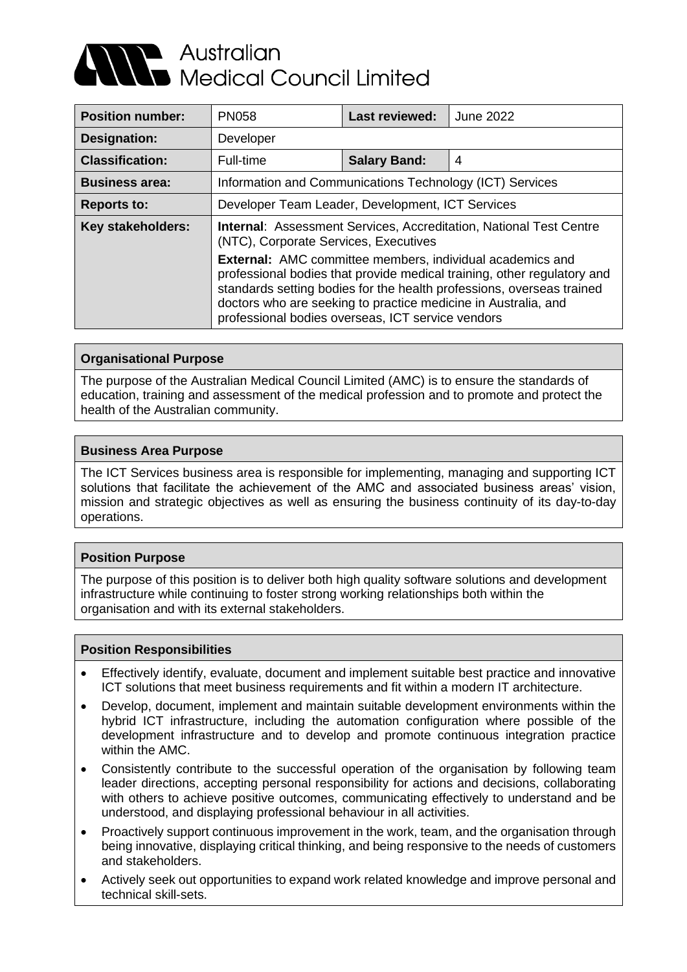# **Australian<br>Au Medical Council Limited**

| <b>Position number:</b> | <b>PN058</b>                                                                                                                                                                                                                                                                                                                        | Last reviewed:      | <b>June 2022</b> |
|-------------------------|-------------------------------------------------------------------------------------------------------------------------------------------------------------------------------------------------------------------------------------------------------------------------------------------------------------------------------------|---------------------|------------------|
| Designation:            | Developer                                                                                                                                                                                                                                                                                                                           |                     |                  |
| <b>Classification:</b>  | Full-time                                                                                                                                                                                                                                                                                                                           | <b>Salary Band:</b> | 4                |
| <b>Business area:</b>   | Information and Communications Technology (ICT) Services                                                                                                                                                                                                                                                                            |                     |                  |
| <b>Reports to:</b>      | Developer Team Leader, Development, ICT Services                                                                                                                                                                                                                                                                                    |                     |                  |
| Key stakeholders:       | <b>Internal: Assessment Services, Accreditation, National Test Centre</b><br>(NTC), Corporate Services, Executives<br>External: AMC committee members, individual academics and<br>professional bodies that provide medical training, other regulatory and<br>standards setting bodies for the health professions, overseas trained |                     |                  |
|                         | doctors who are seeking to practice medicine in Australia, and<br>professional bodies overseas, ICT service vendors                                                                                                                                                                                                                 |                     |                  |

# **Organisational Purpose**

The purpose of the Australian Medical Council Limited (AMC) is to ensure the standards of education, training and assessment of the medical profession and to promote and protect the health of the Australian community.

## **Business Area Purpose**

The ICT Services business area is responsible for implementing, managing and supporting ICT solutions that facilitate the achievement of the AMC and associated business areas' vision, mission and strategic objectives as well as ensuring the business continuity of its day-to-day operations.

### **Position Purpose**

The purpose of this position is to deliver both high quality software solutions and development infrastructure while continuing to foster strong working relationships both within the organisation and with its external stakeholders.

### **Position Responsibilities**

- Effectively identify, evaluate, document and implement suitable best practice and innovative ICT solutions that meet business requirements and fit within a modern IT architecture.
- Develop, document, implement and maintain suitable development environments within the hybrid ICT infrastructure, including the automation configuration where possible of the development infrastructure and to develop and promote continuous integration practice within the AMC.
- Consistently contribute to the successful operation of the organisation by following team leader directions, accepting personal responsibility for actions and decisions, collaborating with others to achieve positive outcomes, communicating effectively to understand and be understood, and displaying professional behaviour in all activities.
- Proactively support continuous improvement in the work, team, and the organisation through being innovative, displaying critical thinking, and being responsive to the needs of customers and stakeholders.
- Actively seek out opportunities to expand work related knowledge and improve personal and technical skill-sets.